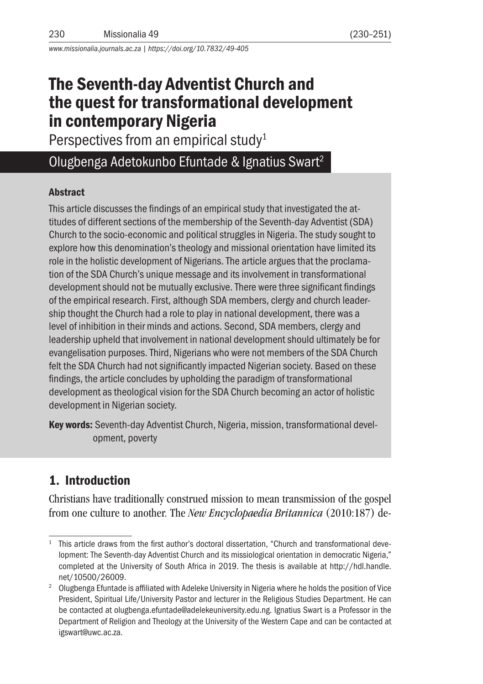*www.missionalia.journals.ac.za | https://doi.org/10.7832/49-405*

# The Seventh-day Adventist Church and the quest for transformational development in contemporary Nigeria

Perspectives from an empirical study<sup>1</sup>

# Olugbenga Adetokunbo Efuntade & Ignatius Swart2

#### **Abstract**

This article discusses the findings of an empirical study that investigated the attitudes of different sections of the membership of the Seventh-day Adventist (SDA) Church to the socio-economic and political struggles in Nigeria. The study sought to explore how this denomination's theology and missional orientation have limited its role in the holistic development of Nigerians. The article argues that the proclamation of the SDA Church's unique message and its involvement in transformational development should not be mutually exclusive. There were three significant findings of the empirical research. First, although SDA members, clergy and church leadership thought the Church had a role to play in national development, there was a level of inhibition in their minds and actions. Second, SDA members, clergy and leadership upheld that involvement in national development should ultimately be for evangelisation purposes. Third, Nigerians who were not members of the SDA Church felt the SDA Church had not significantly impacted Nigerian society. Based on these findings, the article concludes by upholding the paradigm of transformational development as theological vision for the SDA Church becoming an actor of holistic development in Nigerian society.

Key words: Seventh-day Adventist Church, Nigeria, mission, transformational development, poverty

# 1. Introduction

Christians have traditionally construed mission to mean transmission of the gospel from one culture to another. The *New Encyclopaedia Britannica* (2010:187) de-

<sup>&</sup>lt;sup>1</sup> This article draws from the first author's doctoral dissertation, "Church and transformational development: The Seventh-day Adventist Church and its missiological orientation in democratic Nigeria," completed at the University of South Africa in 2019. The thesis is available at http://hdl.handle.

net/10500/26009.<br><sup>2</sup> Olugbenga Efuntade is affiliated with Adeleke University in Nigeria where he holds the position of Vice President, Spiritual Life/University Pastor and lecturer in the Religious Studies Department. He can be contacted at olugbenga.efuntade@adelekeuniversity.edu.ng. Ignatius Swart is a Professor in the Department of Religion and Theology at the University of the Western Cape and can be contacted at igswart@uwc.ac.za.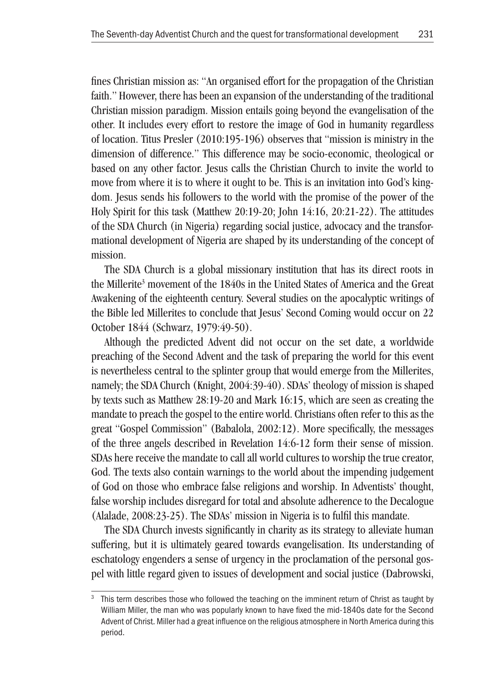fines Christian mission as: "An organised effort for the propagation of the Christian faith." However, there has been an expansion of the understanding of the traditional Christian mission paradigm. Mission entails going beyond the evangelisation of the other. It includes every effort to restore the image of God in humanity regardless of location. Titus Presler (2010:195-196) observes that "mission is ministry in the dimension of difference." This difference may be socio-economic, theological or based on any other factor. Jesus calls the Christian Church to invite the world to move from where it is to where it ought to be. This is an invitation into God's kingdom. Jesus sends his followers to the world with the promise of the power of the Holy Spirit for this task (Matthew 20:19-20; John 14:16, 20:21-22). The attitudes of the SDA Church (in Nigeria) regarding social justice, advocacy and the transformational development of Nigeria are shaped by its understanding of the concept of mission.

The SDA Church is a global missionary institution that has its direct roots in the Millerite<sup>3</sup> movement of the 1840s in the United States of America and the Great Awakening of the eighteenth century. Several studies on the apocalyptic writings of the Bible led Millerites to conclude that Jesus' Second Coming would occur on 22 October 1844 (Schwarz, 1979:49-50).

Although the predicted Advent did not occur on the set date, a worldwide preaching of the Second Advent and the task of preparing the world for this event is nevertheless central to the splinter group that would emerge from the Millerites, namely; the SDA Church (Knight, 2004:39-40). SDAs' theology of mission is shaped by texts such as Matthew 28:19-20 and Mark 16:15, which are seen as creating the mandate to preach the gospel to the entire world. Christians often refer to this as the great "Gospel Commission" (Babalola, 2002:12). More specifically, the messages of the three angels described in Revelation 14:6-12 form their sense of mission. SDAs here receive the mandate to call all world cultures to worship the true creator, God. The texts also contain warnings to the world about the impending judgement of God on those who embrace false religions and worship. In Adventists' thought, false worship includes disregard for total and absolute adherence to the Decalogue (Alalade, 2008:23-25). The SDAs' mission in Nigeria is to fulfil this mandate.

The SDA Church invests significantly in charity as its strategy to alleviate human suffering, but it is ultimately geared towards evangelisation. Its understanding of eschatology engenders a sense of urgency in the proclamation of the personal gospel with little regard given to issues of development and social justice (Dabrowski,

 $3$  This term describes those who followed the teaching on the imminent return of Christ as taught by William Miller, the man who was popularly known to have fixed the mid-1840s date for the Second Advent of Christ. Miller had a great influence on the religious atmosphere in North America during this period.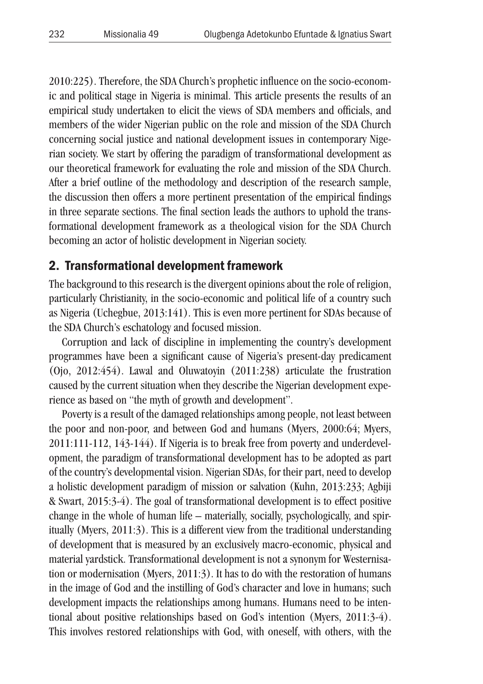2010:225). Therefore, the SDA Church's prophetic influence on the socio-economic and political stage in Nigeria is minimal. This article presents the results of an empirical study undertaken to elicit the views of SDA members and officials, and members of the wider Nigerian public on the role and mission of the SDA Church concerning social justice and national development issues in contemporary Nigerian society. We start by offering the paradigm of transformational development as our theoretical framework for evaluating the role and mission of the SDA Church. After a brief outline of the methodology and description of the research sample, the discussion then offers a more pertinent presentation of the empirical findings in three separate sections. The final section leads the authors to uphold the transformational development framework as a theological vision for the SDA Church becoming an actor of holistic development in Nigerian society.

### 2. Transformational development framework

The background to this research is the divergent opinions about the role of religion, particularly Christianity, in the socio-economic and political life of a country such as Nigeria (Uchegbue, 2013:141). This is even more pertinent for SDAs because of the SDA Church's eschatology and focused mission.

Corruption and lack of discipline in implementing the country's development programmes have been a significant cause of Nigeria's present-day predicament (Ojo, 2012:454). Lawal and Oluwatoyin (2011:238) articulate the frustration caused by the current situation when they describe the Nigerian development experience as based on "the myth of growth and development".

Poverty is a result of the damaged relationships among people, not least between the poor and non-poor, and between God and humans (Myers, 2000:64; Myers, 2011:111-112, 143-144). If Nigeria is to break free from poverty and underdevelopment, the paradigm of transformational development has to be adopted as part of the country's developmental vision. Nigerian SDAs, for their part, need to develop a holistic development paradigm of mission or salvation (Kuhn, 2013:233; Agbiji & Swart, 2015:3-4). The goal of transformational development is to effect positive change in the whole of human life – materially, socially, psychologically, and spiritually (Myers, 2011:3). This is a different view from the traditional understanding of development that is measured by an exclusively macro-economic, physical and material yardstick. Transformational development is not a synonym for Westernisation or modernisation (Myers, 2011:3). It has to do with the restoration of humans in the image of God and the instilling of God's character and love in humans; such development impacts the relationships among humans. Humans need to be intentional about positive relationships based on God's intention (Myers, 2011:3-4). This involves restored relationships with God, with oneself, with others, with the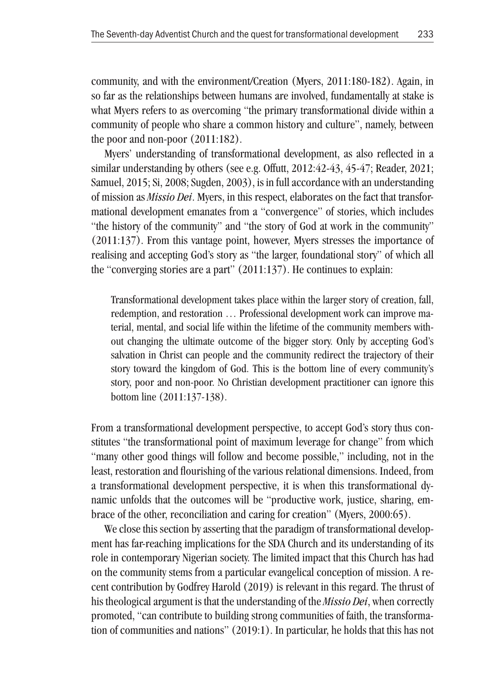community, and with the environment/Creation (Myers, 2011:180-182). Again, in so far as the relationships between humans are involved, fundamentally at stake is what Myers refers to as overcoming "the primary transformational divide within a community of people who share a common history and culture", namely, between the poor and non-poor (2011:182).

Myers' understanding of transformational development, as also reflected in a similar understanding by others (see e.g. Offutt, 2012:42-43, 45-47; Reader, 2021; Samuel, 2015; Si, 2008; Sugden, 2003), is in full accordance with an understanding of mission as *Missio Dei*. Myers, in this respect, elaborates on the fact that transformational development emanates from a "convergence" of stories, which includes "the history of the community" and "the story of God at work in the community" (2011:137). From this vantage point, however, Myers stresses the importance of realising and accepting God's story as "the larger, foundational story" of which all the "converging stories are a part" (2011:137). He continues to explain:

Transformational development takes place within the larger story of creation, fall, redemption, and restoration … Professional development work can improve material, mental, and social life within the lifetime of the community members without changing the ultimate outcome of the bigger story. Only by accepting God's salvation in Christ can people and the community redirect the trajectory of their story toward the kingdom of God. This is the bottom line of every community's story, poor and non-poor. No Christian development practitioner can ignore this bottom line (2011:137-138).

From a transformational development perspective, to accept God's story thus constitutes "the transformational point of maximum leverage for change" from which "many other good things will follow and become possible," including, not in the least, restoration and flourishing of the various relational dimensions. Indeed, from a transformational development perspective, it is when this transformational dynamic unfolds that the outcomes will be "productive work, justice, sharing, embrace of the other, reconciliation and caring for creation" (Myers, 2000:65).

We close this section by asserting that the paradigm of transformational development has far-reaching implications for the SDA Church and its understanding of its role in contemporary Nigerian society. The limited impact that this Church has had on the community stems from a particular evangelical conception of mission. A recent contribution by Godfrey Harold (2019) is relevant in this regard. The thrust of his theological argument is that the understanding of the *Missio Dei*, when correctly promoted, "can contribute to building strong communities of faith, the transformation of communities and nations" (2019:1). In particular, he holds that this has not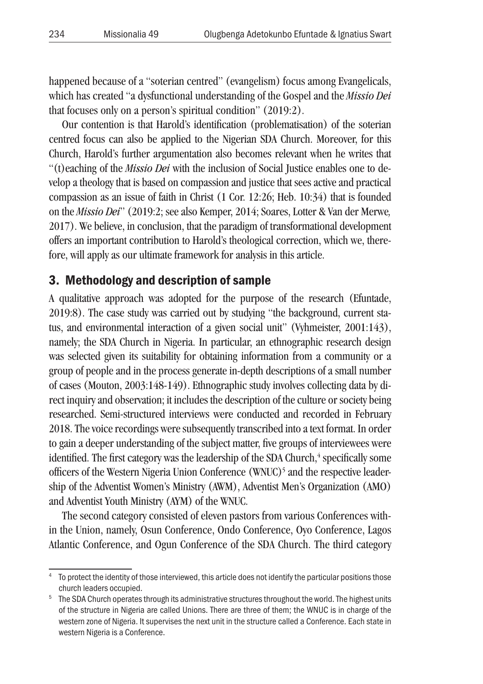happened because of a "soterian centred" (evangelism) focus among Evangelicals, which has created "a dysfunctional understanding of the Gospel and the *Missio Dei* that focuses only on a person's spiritual condition" (2019:2).

Our contention is that Harold's identification (problematisation) of the soterian centred focus can also be applied to the Nigerian SDA Church. Moreover, for this Church, Harold's further argumentation also becomes relevant when he writes that "(t)eaching of the *Missio Dei* with the inclusion of Social Justice enables one to develop a theology that is based on compassion and justice that sees active and practical compassion as an issue of faith in Christ (1 Cor. 12:26; Heb. 10:34) that is founded on the *Missio Dei*" (2019:2; see also Kemper, 2014; Soares, Lotter & Van der Merwe*,* 2017). We believe, in conclusion, that the paradigm of transformational development offers an important contribution to Harold's theological correction, which we, therefore, will apply as our ultimate framework for analysis in this article.

### 3. Methodology and description of sample

A qualitative approach was adopted for the purpose of the research (Efuntade, 2019:8). The case study was carried out by studying "the background, current status, and environmental interaction of a given social unit" (Vyhmeister, 2001:143), namely; the SDA Church in Nigeria. In particular, an ethnographic research design was selected given its suitability for obtaining information from a community or a group of people and in the process generate in-depth descriptions of a small number of cases (Mouton, 2003:148-149). Ethnographic study involves collecting data by direct inquiry and observation; it includes the description of the culture or society being researched. Semi-structured interviews were conducted and recorded in February 2018. The voice recordings were subsequently transcribed into a text format. In order to gain a deeper understanding of the subject matter, five groups of interviewees were identified. The first category was the leadership of the SDA Church,<sup>4</sup> specifically some officers of the Western Nigeria Union Conference (WNUC)<sup>5</sup> and the respective leadership of the Adventist Women's Ministry (AWM), Adventist Men's Organization (AMO) and Adventist Youth Ministry (AYM) of the WNUC.

The second category consisted of eleven pastors from various Conferences within the Union, namely, Osun Conference, Ondo Conference, Oyo Conference, Lagos Atlantic Conference, and Ogun Conference of the SDA Church. The third category

<sup>&</sup>lt;sup>4</sup> To protect the identity of those interviewed, this article does not identify the particular positions those

church leaders occupied. 5 The SDA Church operates through its administrative structures throughout the world. The highest units of the structure in Nigeria are called Unions. There are three of them; the WNUC is in charge of the western zone of Nigeria. It supervises the next unit in the structure called a Conference. Each state in western Nigeria is a Conference.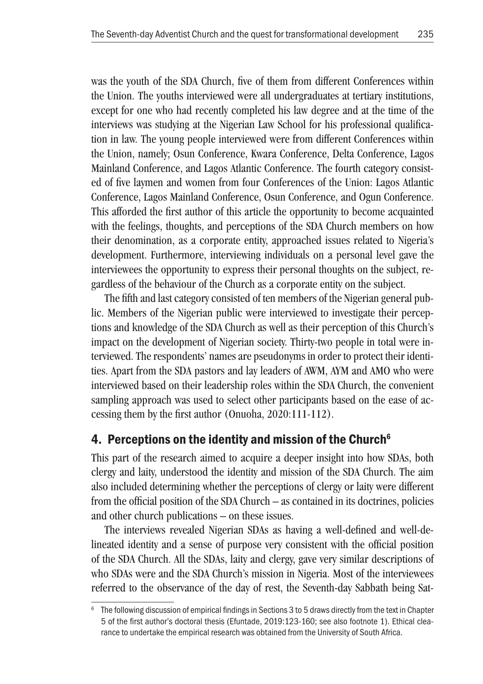was the youth of the SDA Church, five of them from different Conferences within the Union. The youths interviewed were all undergraduates at tertiary institutions, except for one who had recently completed his law degree and at the time of the interviews was studying at the Nigerian Law School for his professional qualification in law. The young people interviewed were from different Conferences within the Union, namely; Osun Conference, Kwara Conference, Delta Conference, Lagos Mainland Conference, and Lagos Atlantic Conference. The fourth category consisted of five laymen and women from four Conferences of the Union: Lagos Atlantic Conference, Lagos Mainland Conference, Osun Conference, and Ogun Conference. This afforded the first author of this article the opportunity to become acquainted with the feelings, thoughts, and perceptions of the SDA Church members on how their denomination, as a corporate entity, approached issues related to Nigeria's development. Furthermore, interviewing individuals on a personal level gave the interviewees the opportunity to express their personal thoughts on the subject, regardless of the behaviour of the Church as a corporate entity on the subject.

The fifth and last category consisted of ten members of the Nigerian general public. Members of the Nigerian public were interviewed to investigate their perceptions and knowledge of the SDA Church as well as their perception of this Church's impact on the development of Nigerian society. Thirty-two people in total were interviewed. The respondents' names are pseudonyms in order to protect their identities. Apart from the SDA pastors and lay leaders of AWM, AYM and AMO who were interviewed based on their leadership roles within the SDA Church, the convenient sampling approach was used to select other participants based on the ease of accessing them by the first author (Onuoha, 2020:111-112).

# 4. Perceptions on the identity and mission of the Church<sup>6</sup>

This part of the research aimed to acquire a deeper insight into how SDAs, both clergy and laity, understood the identity and mission of the SDA Church. The aim also included determining whether the perceptions of clergy or laity were different from the official position of the SDA Church – as contained in its doctrines, policies and other church publications – on these issues.

The interviews revealed Nigerian SDAs as having a well-defined and well-delineated identity and a sense of purpose very consistent with the official position of the SDA Church. All the SDAs, laity and clergy, gave very similar descriptions of who SDAs were and the SDA Church's mission in Nigeria. Most of the interviewees referred to the observance of the day of rest, the Seventh-day Sabbath being Sat-

<sup>&</sup>lt;sup>6</sup> The following discussion of empirical findings in Sections 3 to 5 draws directly from the text in Chapter 5 of the first author's doctoral thesis (Efuntade, 2019:123-160; see also footnote 1). Ethical clearance to undertake the empirical research was obtained from the University of South Africa.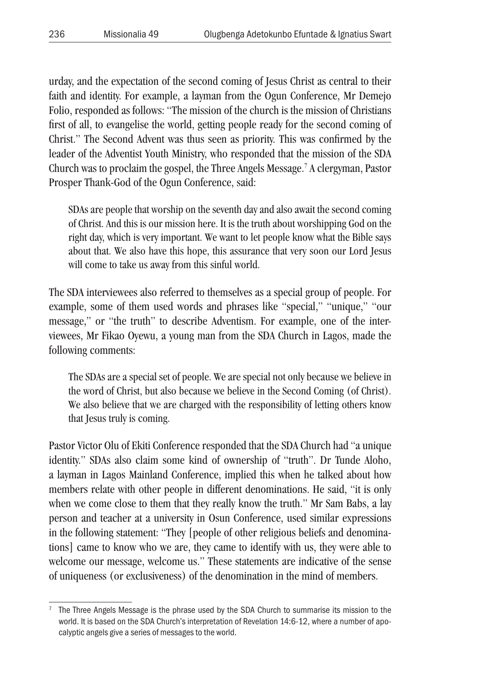urday, and the expectation of the second coming of Jesus Christ as central to their faith and identity. For example, a layman from the Ogun Conference, Mr Demejo Folio, responded as follows: "The mission of the church is the mission of Christians first of all, to evangelise the world, getting people ready for the second coming of Christ." The Second Advent was thus seen as priority. This was confirmed by the leader of the Adventist Youth Ministry, who responded that the mission of the SDA Church was to proclaim the gospel, the Three Angels Message. 7 A clergyman, Pastor Prosper Thank-God of the Ogun Conference, said:

SDAs are people that worship on the seventh day and also await the second coming of Christ. And this is our mission here. It is the truth about worshipping God on the right day, which is very important. We want to let people know what the Bible says about that. We also have this hope, this assurance that very soon our Lord Jesus will come to take us away from this sinful world.

The SDA interviewees also referred to themselves as a special group of people. For example, some of them used words and phrases like "special," "unique," "our message," or "the truth" to describe Adventism. For example, one of the interviewees, Mr Fikao Oyewu, a young man from the SDA Church in Lagos, made the following comments:

The SDAs are a special set of people. We are special not only because we believe in the word of Christ, but also because we believe in the Second Coming (of Christ). We also believe that we are charged with the responsibility of letting others know that Jesus truly is coming.

Pastor Victor Olu of Ekiti Conference responded that the SDA Church had "a unique identity." SDAs also claim some kind of ownership of "truth". Dr Tunde Aloho, a layman in Lagos Mainland Conference, implied this when he talked about how members relate with other people in different denominations. He said, "it is only when we come close to them that they really know the truth." Mr Sam Babs, a lay person and teacher at a university in Osun Conference, used similar expressions in the following statement: "They [people of other religious beliefs and denominations] came to know who we are, they came to identify with us, they were able to welcome our message, welcome us." These statements are indicative of the sense of uniqueness (or exclusiveness) of the denomination in the mind of members.

<sup>7</sup> The Three Angels Message is the phrase used by the SDA Church to summarise its mission to the world. It is based on the SDA Church's interpretation of Revelation 14:6-12, where a number of apocalyptic angels give a series of messages to the world.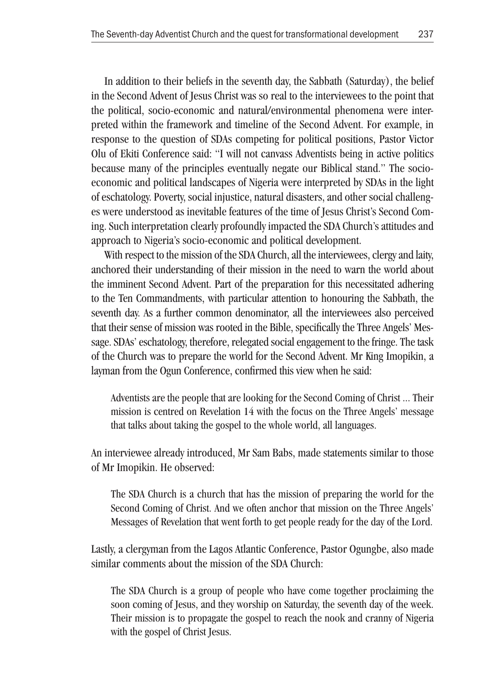In addition to their beliefs in the seventh day, the Sabbath (Saturday), the belief in the Second Advent of Jesus Christ was so real to the interviewees to the point that the political, socio-economic and natural/environmental phenomena were interpreted within the framework and timeline of the Second Advent. For example, in response to the question of SDAs competing for political positions, Pastor Victor Olu of Ekiti Conference said: "I will not canvass Adventists being in active politics because many of the principles eventually negate our Biblical stand." The socioeconomic and political landscapes of Nigeria were interpreted by SDAs in the light of eschatology. Poverty, social injustice, natural disasters, and other social challenges were understood as inevitable features of the time of Jesus Christ's Second Coming. Such interpretation clearly profoundly impacted the SDA Church's attitudes and approach to Nigeria's socio-economic and political development.

With respect to the mission of the SDA Church, all the interviewees, clergy and laity, anchored their understanding of their mission in the need to warn the world about the imminent Second Advent. Part of the preparation for this necessitated adhering to the Ten Commandments, with particular attention to honouring the Sabbath, the seventh day. As a further common denominator, all the interviewees also perceived that their sense of mission was rooted in the Bible, specifically the Three Angels' Message. SDAs' eschatology, therefore, relegated social engagement to the fringe. The task of the Church was to prepare the world for the Second Advent. Mr King Imopikin, a layman from the Ogun Conference, confirmed this view when he said:

Adventists are the people that are looking for the Second Coming of Christ ... Their mission is centred on Revelation 14 with the focus on the Three Angels' message that talks about taking the gospel to the whole world, all languages.

An interviewee already introduced, Mr Sam Babs, made statements similar to those of Mr Imopikin. He observed:

The SDA Church is a church that has the mission of preparing the world for the Second Coming of Christ. And we often anchor that mission on the Three Angels' Messages of Revelation that went forth to get people ready for the day of the Lord.

Lastly, a clergyman from the Lagos Atlantic Conference, Pastor Ogungbe, also made similar comments about the mission of the SDA Church:

The SDA Church is a group of people who have come together proclaiming the soon coming of Jesus, and they worship on Saturday, the seventh day of the week. Their mission is to propagate the gospel to reach the nook and cranny of Nigeria with the gospel of Christ Jesus.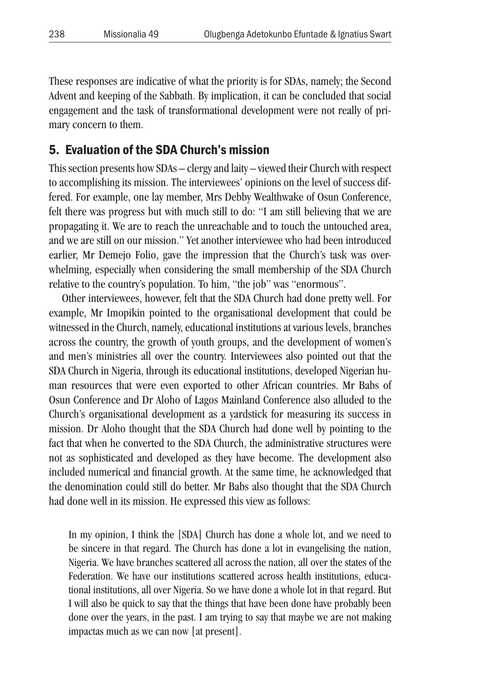These responses are indicative of what the priority is for SDAs, namely; the Second Advent and keeping of the Sabbath. By implication, it can be concluded that social engagement and the task of transformational development were not really of primary concern to them.

### 5. Evaluation of the SDA Church's mission

This section presents how SDAs – clergy and laity – viewed their Church with respect to accomplishing its mission. The interviewees' opinions on the level of success differed. For example, one lay member, Mrs Debby Wealthwake of Osun Conference, felt there was progress but with much still to do: "I am still believing that we are propagating it. We are to reach the unreachable and to touch the untouched area, and we are still on our mission." Yet another interviewee who had been introduced earlier, Mr Demejo Folio, gave the impression that the Church's task was overwhelming, especially when considering the small membership of the SDA Church relative to the country's population. To him, "the job" was "enormous".

Other interviewees, however, felt that the SDA Church had done pretty well. For example, Mr Imopikin pointed to the organisational development that could be witnessed in the Church, namely, educational institutions at various levels, branches across the country, the growth of youth groups, and the development of women's and men's ministries all over the country. Interviewees also pointed out that the SDA Church in Nigeria, through its educational institutions, developed Nigerian human resources that were even exported to other African countries. Mr Babs of Osun Conference and Dr Aloho of Lagos Mainland Conference also alluded to the Church's organisational development as a yardstick for measuring its success in mission. Dr Aloho thought that the SDA Church had done well by pointing to the fact that when he converted to the SDA Church, the administrative structures were not as sophisticated and developed as they have become. The development also included numerical and financial growth. At the same time, he acknowledged that the denomination could still do better. Mr Babs also thought that the SDA Church had done well in its mission. He expressed this view as follows:

In my opinion, I think the [SDA] Church has done a whole lot, and we need to be sincere in that regard. The Church has done a lot in evangelising the nation, Nigeria. We have branches scattered all across the nation, all over the states of the Federation. We have our institutions scattered across health institutions, educational institutions, all over Nigeria. So we have done a whole lot in that regard. But I will also be quick to say that the things that have been done have probably been done over the years, in the past. I am trying to say that maybe we are not making impactas much as we can now [at present].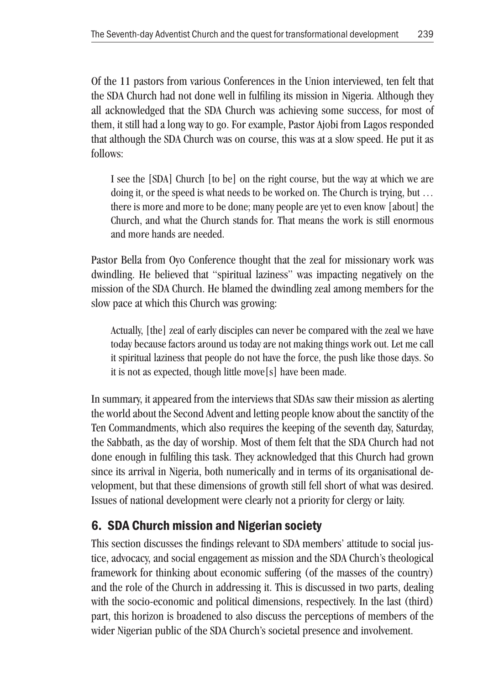Of the 11 pastors from various Conferences in the Union interviewed, ten felt that the SDA Church had not done well in fulfiling its mission in Nigeria. Although they all acknowledged that the SDA Church was achieving some success, for most of them, it still had a long way to go. For example, Pastor Ajobi from Lagos responded that although the SDA Church was on course, this was at a slow speed. He put it as follows:

I see the [SDA] Church [to be] on the right course, but the way at which we are doing it, or the speed is what needs to be worked on. The Church is trying, but … there is more and more to be done; many people are yet to even know [about] the Church, and what the Church stands for. That means the work is still enormous and more hands are needed.

Pastor Bella from Oyo Conference thought that the zeal for missionary work was dwindling. He believed that "spiritual laziness" was impacting negatively on the mission of the SDA Church. He blamed the dwindling zeal among members for the slow pace at which this Church was growing:

Actually, [the] zeal of early disciples can never be compared with the zeal we have today because factors around us today are not making things work out. Let me call it spiritual laziness that people do not have the force, the push like those days. So it is not as expected, though little move[s] have been made.

In summary, it appeared from the interviews that SDAs saw their mission as alerting the world about the Second Advent and letting people know about the sanctity of the Ten Commandments, which also requires the keeping of the seventh day, Saturday, the Sabbath, as the day of worship. Most of them felt that the SDA Church had not done enough in fulfiling this task. They acknowledged that this Church had grown since its arrival in Nigeria, both numerically and in terms of its organisational development, but that these dimensions of growth still fell short of what was desired. Issues of national development were clearly not a priority for clergy or laity.

# 6. SDA Church mission and Nigerian society

This section discusses the findings relevant to SDA members' attitude to social justice, advocacy, and social engagement as mission and the SDA Church's theological framework for thinking about economic suffering (of the masses of the country) and the role of the Church in addressing it. This is discussed in two parts, dealing with the socio-economic and political dimensions, respectively. In the last (third) part, this horizon is broadened to also discuss the perceptions of members of the wider Nigerian public of the SDA Church's societal presence and involvement.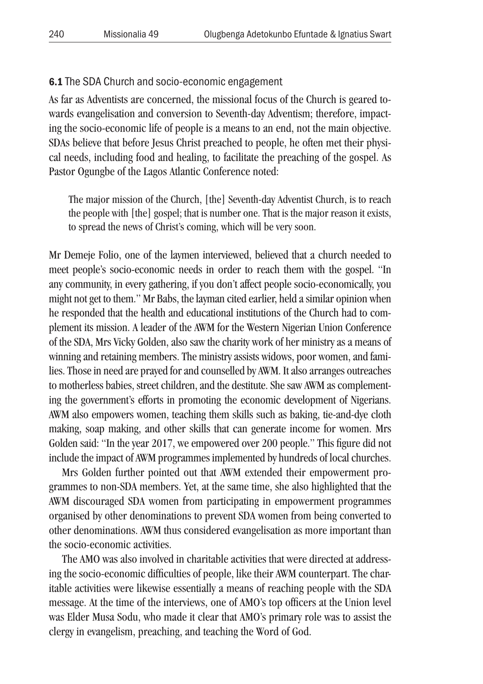#### 6.1 The SDA Church and socio-economic engagement

As far as Adventists are concerned, the missional focus of the Church is geared towards evangelisation and conversion to Seventh-day Adventism; therefore, impacting the socio-economic life of people is a means to an end, not the main objective. SDAs believe that before Jesus Christ preached to people, he often met their physical needs, including food and healing, to facilitate the preaching of the gospel. As Pastor Ogungbe of the Lagos Atlantic Conference noted:

The major mission of the Church, [the] Seventh-day Adventist Church, is to reach the people with [the] gospel; that is number one. That is the major reason it exists, to spread the news of Christ's coming, which will be very soon.

Mr Demeje Folio, one of the laymen interviewed, believed that a church needed to meet people's socio-economic needs in order to reach them with the gospel. "In any community, in every gathering, if you don't affect people socio-economically, you might not get to them." Mr Babs, the layman cited earlier, held a similar opinion when he responded that the health and educational institutions of the Church had to complement its mission. A leader of the AWM for the Western Nigerian Union Conference of the SDA, Mrs Vicky Golden, also saw the charity work of her ministry as a means of winning and retaining members. The ministry assists widows, poor women, and families. Those in need are prayed for and counselled by AWM. It also arranges outreaches to motherless babies, street children, and the destitute. She saw AWM as complementing the government's efforts in promoting the economic development of Nigerians. AWM also empowers women, teaching them skills such as baking, tie-and-dye cloth making, soap making, and other skills that can generate income for women. Mrs Golden said: "In the year 2017, we empowered over 200 people." This figure did not include the impact of AWM programmes implemented by hundreds of local churches.

Mrs Golden further pointed out that AWM extended their empowerment programmes to non-SDA members. Yet, at the same time, she also highlighted that the AWM discouraged SDA women from participating in empowerment programmes organised by other denominations to prevent SDA women from being converted to other denominations. AWM thus considered evangelisation as more important than the socio-economic activities.

The AMO was also involved in charitable activities that were directed at addressing the socio-economic difficulties of people, like their AWM counterpart. The charitable activities were likewise essentially a means of reaching people with the SDA message. At the time of the interviews, one of AMO's top officers at the Union level was Elder Musa Sodu, who made it clear that AMO's primary role was to assist the clergy in evangelism, preaching, and teaching the Word of God.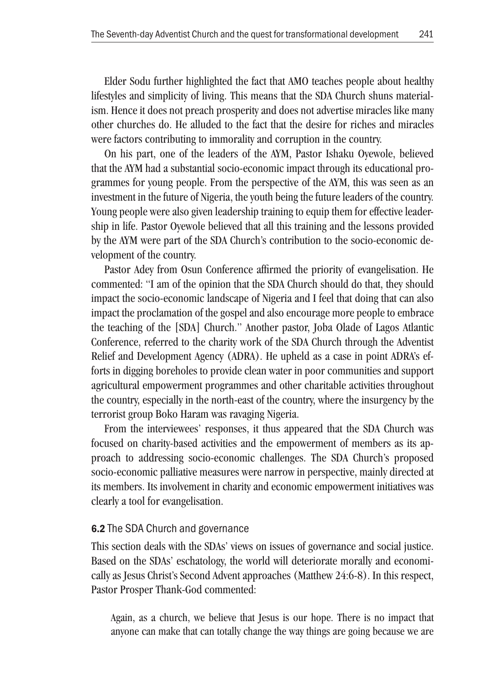Elder Sodu further highlighted the fact that AMO teaches people about healthy lifestyles and simplicity of living. This means that the SDA Church shuns materialism. Hence it does not preach prosperity and does not advertise miracles like many other churches do. He alluded to the fact that the desire for riches and miracles were factors contributing to immorality and corruption in the country.

On his part, one of the leaders of the AYM, Pastor Ishaku Oyewole, believed that the AYM had a substantial socio-economic impact through its educational programmes for young people. From the perspective of the AYM, this was seen as an investment in the future of Nigeria, the youth being the future leaders of the country. Young people were also given leadership training to equip them for effective leadership in life. Pastor Oyewole believed that all this training and the lessons provided by the AYM were part of the SDA Church's contribution to the socio-economic development of the country.

Pastor Adey from Osun Conference affirmed the priority of evangelisation. He commented: "I am of the opinion that the SDA Church should do that, they should impact the socio-economic landscape of Nigeria and I feel that doing that can also impact the proclamation of the gospel and also encourage more people to embrace the teaching of the [SDA] Church." Another pastor, Joba Olade of Lagos Atlantic Conference, referred to the charity work of the SDA Church through the Adventist Relief and Development Agency (ADRA). He upheld as a case in point ADRA's efforts in digging boreholes to provide clean water in poor communities and support agricultural empowerment programmes and other charitable activities throughout the country, especially in the north-east of the country, where the insurgency by the terrorist group Boko Haram was ravaging Nigeria.

From the interviewees' responses, it thus appeared that the SDA Church was focused on charity-based activities and the empowerment of members as its approach to addressing socio-economic challenges. The SDA Church's proposed socio-economic palliative measures were narrow in perspective, mainly directed at its members. Its involvement in charity and economic empowerment initiatives was clearly a tool for evangelisation.

#### 6.2 The SDA Church and governance

This section deals with the SDAs' views on issues of governance and social justice. Based on the SDAs' eschatology, the world will deteriorate morally and economically as Jesus Christ's Second Advent approaches (Matthew 24:6-8). In this respect, Pastor Prosper Thank-God commented:

Again, as a church, we believe that Jesus is our hope. There is no impact that anyone can make that can totally change the way things are going because we are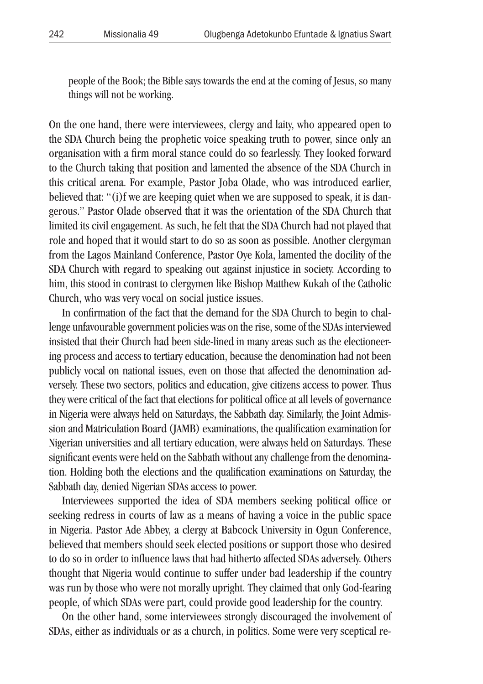people of the Book; the Bible says towards the end at the coming of Jesus, so many things will not be working.

On the one hand, there were interviewees, clergy and laity, who appeared open to the SDA Church being the prophetic voice speaking truth to power, since only an organisation with a firm moral stance could do so fearlessly. They looked forward to the Church taking that position and lamented the absence of the SDA Church in this critical arena. For example, Pastor Joba Olade, who was introduced earlier, believed that: "(i)f we are keeping quiet when we are supposed to speak, it is dangerous." Pastor Olade observed that it was the orientation of the SDA Church that limited its civil engagement. As such, he felt that the SDA Church had not played that role and hoped that it would start to do so as soon as possible. Another clergyman from the Lagos Mainland Conference, Pastor Oye Kola, lamented the docility of the SDA Church with regard to speaking out against injustice in society. According to him, this stood in contrast to clergymen like Bishop Matthew Kukah of the Catholic Church, who was very vocal on social justice issues.

In confirmation of the fact that the demand for the SDA Church to begin to challenge unfavourable government policies was on the rise, some of the SDAs interviewed insisted that their Church had been side-lined in many areas such as the electioneering process and access to tertiary education, because the denomination had not been publicly vocal on national issues, even on those that affected the denomination adversely. These two sectors, politics and education, give citizens access to power. Thus they were critical of the fact that elections for political office at all levels of governance in Nigeria were always held on Saturdays, the Sabbath day. Similarly, the Joint Admission and Matriculation Board (JAMB) examinations, the qualification examination for Nigerian universities and all tertiary education, were always held on Saturdays. These significant events were held on the Sabbath without any challenge from the denomination. Holding both the elections and the qualification examinations on Saturday, the Sabbath day, denied Nigerian SDAs access to power.

Interviewees supported the idea of SDA members seeking political office or seeking redress in courts of law as a means of having a voice in the public space in Nigeria. Pastor Ade Abbey, a clergy at Babcock University in Ogun Conference, believed that members should seek elected positions or support those who desired to do so in order to influence laws that had hitherto affected SDAs adversely. Others thought that Nigeria would continue to suffer under bad leadership if the country was run by those who were not morally upright. They claimed that only God-fearing people, of which SDAs were part, could provide good leadership for the country.

On the other hand, some interviewees strongly discouraged the involvement of SDAs, either as individuals or as a church, in politics. Some were very sceptical re-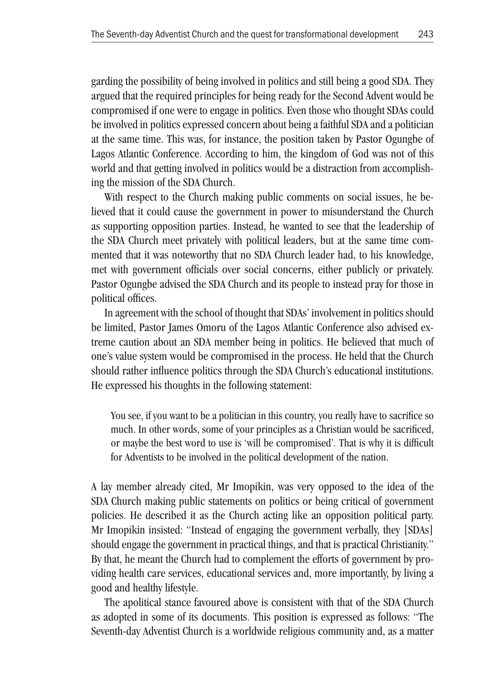garding the possibility of being involved in politics and still being a good SDA. They argued that the required principles for being ready for the Second Advent would be compromised if one were to engage in politics. Even those who thought SDAs could be involved in politics expressed concern about being a faithful SDA and a politician at the same time. This was, for instance, the position taken by Pastor Ogungbe of Lagos Atlantic Conference. According to him, the kingdom of God was not of this world and that getting involved in politics would be a distraction from accomplishing the mission of the SDA Church.

With respect to the Church making public comments on social issues, he believed that it could cause the government in power to misunderstand the Church as supporting opposition parties. Instead, he wanted to see that the leadership of the SDA Church meet privately with political leaders, but at the same time commented that it was noteworthy that no SDA Church leader had, to his knowledge, met with government officials over social concerns, either publicly or privately. Pastor Ogungbe advised the SDA Church and its people to instead pray for those in political offices.

In agreement with the school of thought that SDAs' involvement in politics should be limited, Pastor James Omoru of the Lagos Atlantic Conference also advised extreme caution about an SDA member being in politics. He believed that much of one's value system would be compromised in the process. He held that the Church should rather influence politics through the SDA Church's educational institutions. He expressed his thoughts in the following statement:

You see, if you want to be a politician in this country, you really have to sacrifice so much. In other words, some of your principles as a Christian would be sacrificed, or maybe the best word to use is 'will be compromised'. That is why it is difficult for Adventists to be involved in the political development of the nation.

A lay member already cited, Mr Imopikin, was very opposed to the idea of the SDA Church making public statements on politics or being critical of government policies. He described it as the Church acting like an opposition political party. Mr Imopikin insisted: "Instead of engaging the government verbally, they [SDAs] should engage the government in practical things, and that is practical Christianity." By that, he meant the Church had to complement the efforts of government by providing health care services, educational services and, more importantly, by living a good and healthy lifestyle.

The apolitical stance favoured above is consistent with that of the SDA Church as adopted in some of its documents. This position is expressed as follows: "The Seventh-day Adventist Church is a worldwide religious community and, as a matter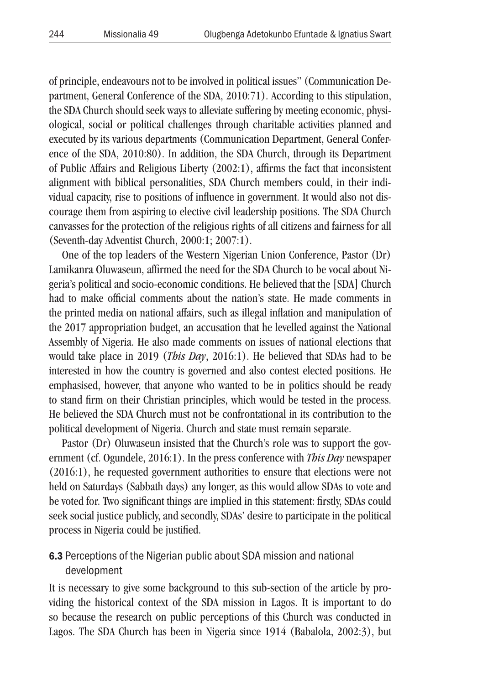of principle, endeavours not to be involved in political issues" (Communication Department, General Conference of the SDA, 2010:71). According to this stipulation, the SDA Church should seek ways to alleviate suffering by meeting economic, physiological, social or political challenges through charitable activities planned and executed by its various departments (Communication Department, General Conference of the SDA, 2010:80). In addition, the SDA Church, through its Department of Public Affairs and Religious Liberty (2002:1), affirms the fact that inconsistent alignment with biblical personalities, SDA Church members could, in their individual capacity, rise to positions of influence in government. It would also not discourage them from aspiring to elective civil leadership positions. The SDA Church canvasses for the protection of the religious rights of all citizens and fairness for all (Seventh-day Adventist Church, 2000:1; 2007:1).

One of the top leaders of the Western Nigerian Union Conference, Pastor (Dr) Lamikanra Oluwaseun, affirmed the need for the SDA Church to be vocal about Nigeria's political and socio-economic conditions. He believed that the [SDA] Church had to make official comments about the nation's state. He made comments in the printed media on national affairs, such as illegal inflation and manipulation of the 2017 appropriation budget, an accusation that he levelled against the National Assembly of Nigeria. He also made comments on issues of national elections that would take place in 2019 (*This Day*, 2016:1). He believed that SDAs had to be interested in how the country is governed and also contest elected positions. He emphasised, however, that anyone who wanted to be in politics should be ready to stand firm on their Christian principles, which would be tested in the process. He believed the SDA Church must not be confrontational in its contribution to the political development of Nigeria. Church and state must remain separate.

Pastor (Dr) Oluwaseun insisted that the Church's role was to support the government (cf. Ogundele, 2016:1). In the press conference with *This Day* newspaper (2016:1), he requested government authorities to ensure that elections were not held on Saturdays (Sabbath days) any longer, as this would allow SDAs to vote and be voted for. Two significant things are implied in this statement: firstly, SDAs could seek social justice publicly, and secondly, SDAs' desire to participate in the political process in Nigeria could be justified.

#### 6.3 Perceptions of the Nigerian public about SDA mission and national development

It is necessary to give some background to this sub-section of the article by providing the historical context of the SDA mission in Lagos. It is important to do so because the research on public perceptions of this Church was conducted in Lagos. The SDA Church has been in Nigeria since 1914 (Babalola, 2002:3), but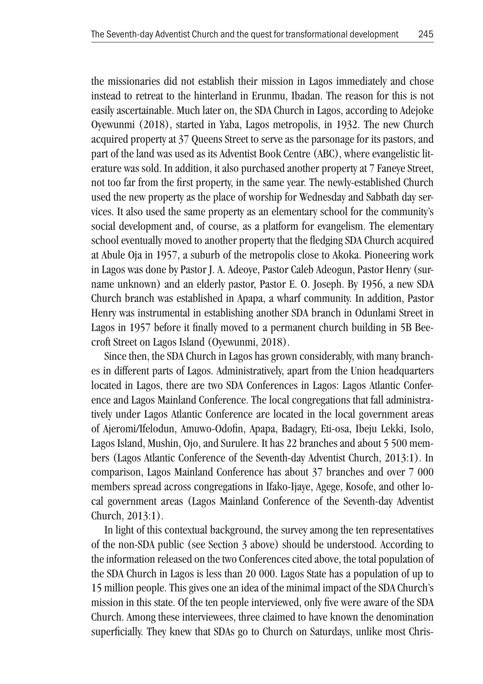the missionaries did not establish their mission in Lagos immediately and chose instead to retreat to the hinterland in Erunmu, Ibadan. The reason for this is not easily ascertainable. Much later on, the SDA Church in Lagos, according to Adejoke Oyewunmi (2018), started in Yaba, Lagos metropolis, in 1932. The new Church acquired property at 37 Queens Street to serve as the parsonage for its pastors, and part of the land was used as its Adventist Book Centre (ABC), where evangelistic literature was sold. In addition, it also purchased another property at 7 Faneye Street, not too far from the first property, in the same year. The newly-established Church used the new property as the place of worship for Wednesday and Sabbath day services. It also used the same property as an elementary school for the community's social development and, of course, as a platform for evangelism. The elementary school eventually moved to another property that the fledging SDA Church acquired at Abule Oja in 1957, a suburb of the metropolis close to Akoka. Pioneering work in Lagos was done by Pastor J. A. Adeoye, Pastor Caleb Adeogun, Pastor Henry (surname unknown) and an elderly pastor, Pastor E. O. Joseph. By 1956, a new SDA Church branch was established in Apapa, a wharf community. In addition, Pastor Henry was instrumental in establishing another SDA branch in Odunlami Street in Lagos in 1957 before it finally moved to a permanent church building in 5B Beecroft Street on Lagos Island (Oyewunmi, 2018).

Since then, the SDA Church in Lagos has grown considerably, with many branches in different parts of Lagos. Administratively, apart from the Union headquarters located in Lagos, there are two SDA Conferences in Lagos: Lagos Atlantic Conference and Lagos Mainland Conference. The local congregations that fall administratively under Lagos Atlantic Conference are located in the local government areas of Ajeromi/Ifelodun, Amuwo-Odofin, Apapa, Badagry, Eti-osa, Ibeju Lekki, Isolo, Lagos Island, Mushin, Ojo, and Surulere. It has 22 branches and about 5 500 members (Lagos Atlantic Conference of the Seventh-day Adventist Church, 2013:1). In comparison, Lagos Mainland Conference has about 37 branches and over 7 000 members spread across congregations in Ifako-Ijaye, Agege, Kosofe, and other local government areas (Lagos Mainland Conference of the Seventh-day Adventist Church, 2013:1).

In light of this contextual background, the survey among the ten representatives of the non-SDA public (see Section 3 above) should be understood. According to the information released on the two Conferences cited above, the total population of the SDA Church in Lagos is less than 20 000. Lagos State has a population of up to 15 million people. This gives one an idea of the minimal impact of the SDA Church's mission in this state. Of the ten people interviewed, only five were aware of the SDA Church. Among these interviewees, three claimed to have known the denomination superficially. They knew that SDAs go to Church on Saturdays, unlike most Chris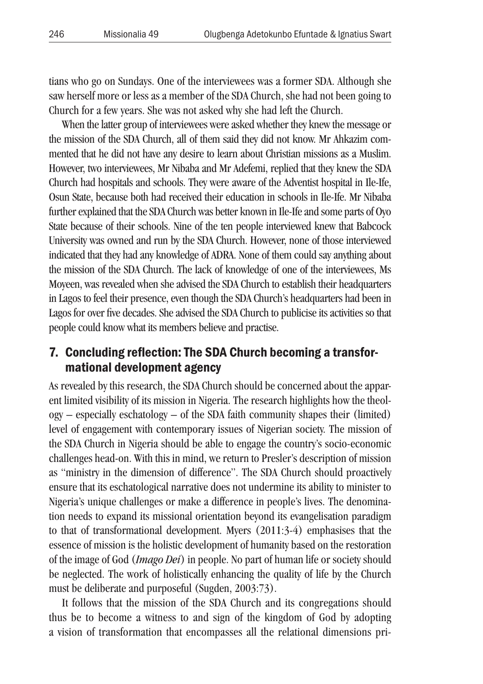tians who go on Sundays. One of the interviewees was a former SDA. Although she saw herself more or less as a member of the SDA Church, she had not been going to Church for a few years. She was not asked why she had left the Church.

When the latter group of interviewees were asked whether they knew the message or the mission of the SDA Church, all of them said they did not know. Mr Ahkazim commented that he did not have any desire to learn about Christian missions as a Muslim. However, two interviewees, Mr Nibaba and Mr Adefemi, replied that they knew the SDA Church had hospitals and schools. They were aware of the Adventist hospital in Ile-Ife, Osun State, because both had received their education in schools in Ile-Ife. Mr Nibaba further explained that the SDA Church was better known in Ile-Ife and some parts of Oyo State because of their schools. Nine of the ten people interviewed knew that Babcock University was owned and run by the SDA Church. However, none of those interviewed indicated that they had any knowledge of ADRA. None of them could say anything about the mission of the SDA Church. The lack of knowledge of one of the interviewees, Ms Moyeen, was revealed when she advised the SDA Church to establish their headquarters in Lagos to feel their presence, even though the SDA Church's headquarters had been in Lagos for over five decades. She advised the SDA Church to publicise its activities so that people could know what its members believe and practise.

## 7. Concluding reflection: The SDA Church becoming a transformational development agency

As revealed by this research, the SDA Church should be concerned about the apparent limited visibility of its mission in Nigeria. The research highlights how the theology – especially eschatology – of the SDA faith community shapes their (limited) level of engagement with contemporary issues of Nigerian society. The mission of the SDA Church in Nigeria should be able to engage the country's socio-economic challenges head-on. With this in mind, we return to Presler's description of mission as "ministry in the dimension of difference". The SDA Church should proactively ensure that its eschatological narrative does not undermine its ability to minister to Nigeria's unique challenges or make a difference in people's lives. The denomination needs to expand its missional orientation beyond its evangelisation paradigm to that of transformational development. Myers (2011:3-4) emphasises that the essence of mission is the holistic development of humanity based on the restoration of the image of God (*Imago Dei*) in people. No part of human life or society should be neglected. The work of holistically enhancing the quality of life by the Church must be deliberate and purposeful (Sugden, 2003:73).

It follows that the mission of the SDA Church and its congregations should thus be to become a witness to and sign of the kingdom of God by adopting a vision of transformation that encompasses all the relational dimensions pri-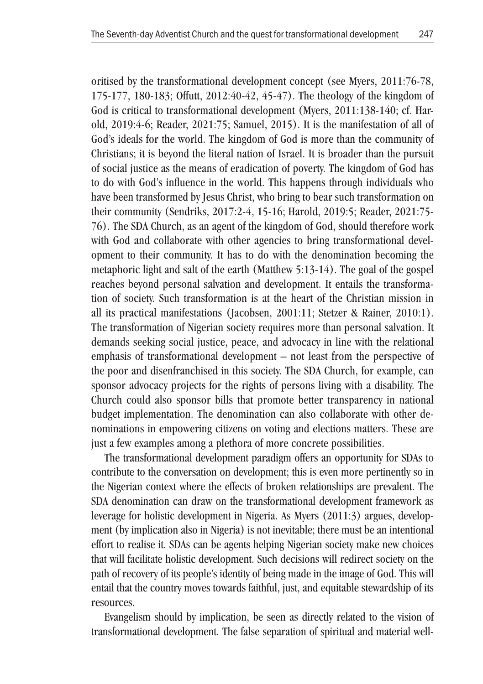oritised by the transformational development concept (see Myers, 2011:76-78, 175-177, 180-183; Offutt, 2012:40-42, 45-47). The theology of the kingdom of God is critical to transformational development (Myers, 2011:138-140; cf. Harold, 2019:4-6; Reader, 2021:75; Samuel, 2015). It is the manifestation of all of God's ideals for the world. The kingdom of God is more than the community of Christians; it is beyond the literal nation of Israel. It is broader than the pursuit of social justice as the means of eradication of poverty. The kingdom of God has to do with God's influence in the world. This happens through individuals who have been transformed by Jesus Christ, who bring to bear such transformation on their community (Sendriks, 2017:2-4, 15-16; Harold, 2019:5; Reader, 2021:75- 76). The SDA Church, as an agent of the kingdom of God, should therefore work with God and collaborate with other agencies to bring transformational development to their community. It has to do with the denomination becoming the metaphoric light and salt of the earth (Matthew 5:13-14). The goal of the gospel reaches beyond personal salvation and development. It entails the transformation of society. Such transformation is at the heart of the Christian mission in all its practical manifestations (Jacobsen, 2001:11; Stetzer & Rainer, 2010:1). The transformation of Nigerian society requires more than personal salvation. It demands seeking social justice, peace, and advocacy in line with the relational emphasis of transformational development – not least from the perspective of the poor and disenfranchised in this society. The SDA Church, for example, can sponsor advocacy projects for the rights of persons living with a disability. The Church could also sponsor bills that promote better transparency in national budget implementation. The denomination can also collaborate with other denominations in empowering citizens on voting and elections matters. These are just a few examples among a plethora of more concrete possibilities.

The transformational development paradigm offers an opportunity for SDAs to contribute to the conversation on development; this is even more pertinently so in the Nigerian context where the effects of broken relationships are prevalent. The SDA denomination can draw on the transformational development framework as leverage for holistic development in Nigeria. As Myers (2011:3) argues, development (by implication also in Nigeria) is not inevitable; there must be an intentional effort to realise it. SDAs can be agents helping Nigerian society make new choices that will facilitate holistic development. Such decisions will redirect society on the path of recovery of its people's identity of being made in the image of God. This will entail that the country moves towards faithful, just, and equitable stewardship of its resources.

Evangelism should by implication, be seen as directly related to the vision of transformational development. The false separation of spiritual and material well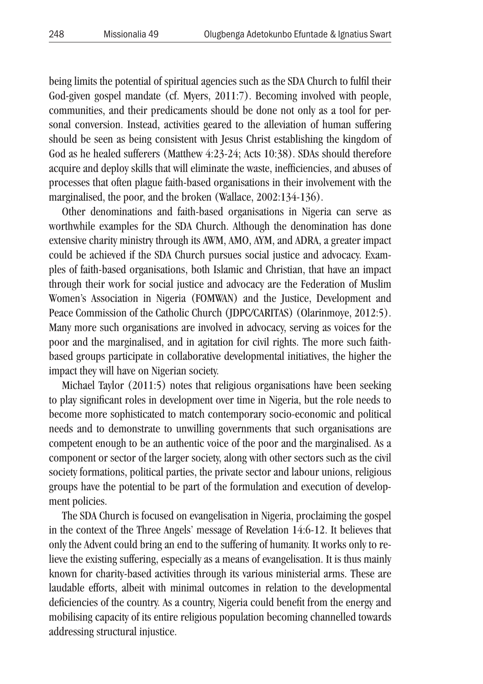being limits the potential of spiritual agencies such as the SDA Church to fulfil their God-given gospel mandate (cf. Myers, 2011:7). Becoming involved with people, communities, and their predicaments should be done not only as a tool for personal conversion. Instead, activities geared to the alleviation of human suffering should be seen as being consistent with Jesus Christ establishing the kingdom of God as he healed sufferers (Matthew 4:23-24; Acts 10:38). SDAs should therefore acquire and deploy skills that will eliminate the waste, inefficiencies, and abuses of processes that often plague faith-based organisations in their involvement with the marginalised, the poor, and the broken (Wallace, 2002:134-136).

Other denominations and faith-based organisations in Nigeria can serve as worthwhile examples for the SDA Church. Although the denomination has done extensive charity ministry through its AWM, AMO, AYM, and ADRA, a greater impact could be achieved if the SDA Church pursues social justice and advocacy. Examples of faith-based organisations, both Islamic and Christian, that have an impact through their work for social justice and advocacy are the Federation of Muslim Women's Association in Nigeria (FOMWAN) and the Justice, Development and Peace Commission of the Catholic Church (JDPC/CARITAS) (Olarinmoye, 2012:5). Many more such organisations are involved in advocacy, serving as voices for the poor and the marginalised, and in agitation for civil rights. The more such faithbased groups participate in collaborative developmental initiatives, the higher the impact they will have on Nigerian society.

Michael Taylor (2011:5) notes that religious organisations have been seeking to play significant roles in development over time in Nigeria, but the role needs to become more sophisticated to match contemporary socio-economic and political needs and to demonstrate to unwilling governments that such organisations are competent enough to be an authentic voice of the poor and the marginalised. As a component or sector of the larger society, along with other sectors such as the civil society formations, political parties, the private sector and labour unions, religious groups have the potential to be part of the formulation and execution of development policies.

The SDA Church is focused on evangelisation in Nigeria, proclaiming the gospel in the context of the Three Angels' message of Revelation 14:6-12. It believes that only the Advent could bring an end to the suffering of humanity. It works only to relieve the existing suffering, especially as a means of evangelisation. It is thus mainly known for charity-based activities through its various ministerial arms. These are laudable efforts, albeit with minimal outcomes in relation to the developmental deficiencies of the country. As a country, Nigeria could benefit from the energy and mobilising capacity of its entire religious population becoming channelled towards addressing structural injustice.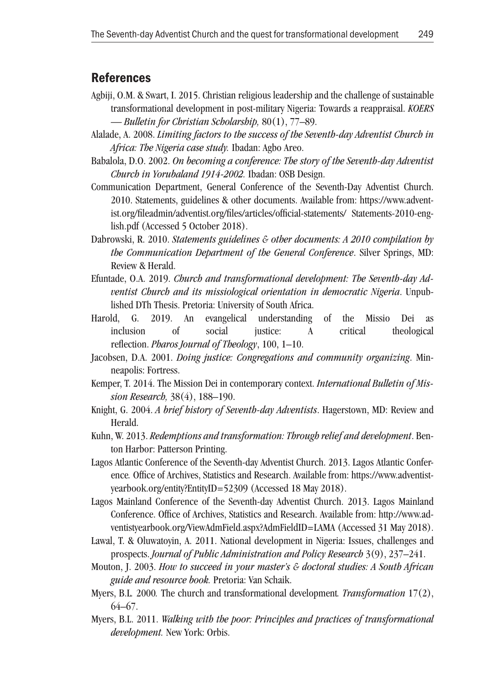### References

- Agbiji, O.M. & Swart, I. 2015. Christian religious leadership and the challenge of sustainable transformational development in post-military Nigeria: Towards a reappraisal. *KOERS — Bulletin for Christian Scholarship,* 80(1), 77–89.
- Alalade, A. 2008. *Limiting factors to the success of the Seventh-day Adventist Church in Africa: The Nigeria case study.* Ibadan: Agbo Areo.
- Babalola, D.O. 2002. *On becoming a conference: The story of the Seventh-day Adventist Church in Yorubaland 1914-2002.* Ibadan: OSB Design.
- Communication Department, General Conference of the Seventh-Day Adventist Church. 2010. Statements, guidelines & other documents. Available from: https://www.adventist.org/fileadmin/adventist.org/files/articles/official-statements/ Statements-2010-english.pdf (Accessed 5 October 2018).
- Dabrowski, R. 2010. *Statements guidelines & other documents: A 2010 compilation by the Communication Department of the General Conference*. Silver Springs, MD: Review & Herald.
- Efuntade, O.A. 2019. *Church and transformational development: The Seventh-day Adventist Church and its missiological orientation in democratic Nigeria*. Unpublished DTh Thesis. Pretoria: University of South Africa.
- Harold, G. 2019. An evangelical understanding of the Missio Dei as inclusion of social justice: A critical theological reflection. *Pharos Journal of Theology*, 100, 1–10.
- Jacobsen, D.A. 2001. *Doing justice: Congregations and community organizing*. Minneapolis: Fortress.
- Kemper, T. 2014. The Mission Dei in contemporary context. *International Bulletin of Mission Research,* 38(4), 188–190.
- Knight, G. 2004. *A brief history of Seventh-day Adventists*. Hagerstown, MD: Review and Herald.
- Kuhn, W. 2013. *Redemptions and transformation: Through relief and development*. Benton Harbor: Patterson Printing.
- Lagos Atlantic Conference of the Seventh-day Adventist Church. 2013. Lagos Atlantic Conference*.* Office of Archives, Statistics and Research. Available from: https://www.adventistyearbook.org/entity?EntityID=52309 (Accessed 18 May 2018).
- Lagos Mainland Conference of the Seventh-day Adventist Church. 2013. Lagos Mainland Conference. Office of Archives, Statistics and Research. Available from: http://www.adventistyearbook.org/ViewAdmField.aspx?AdmFieldID=LAMA (Accessed 31 May 2018).
- Lawal, T. & Oluwatoyin, A. 2011. National development in Nigeria: Issues, challenges and prospects. *Journal of Public Administration and Policy Research* 3(9), 237–241.
- Mouton, J. 2003. *How to succeed in your master's & doctoral studies: A South African guide and resource book.* Pretoria: Van Schaik.
- Myers, B.L*.* 2000*.* The church and transformational development*. Transformation* 17(2), 64–67.
- Myers, B.L. 2011. *Walking with the poor: Principles and practices of transformational development.* New York: Orbis.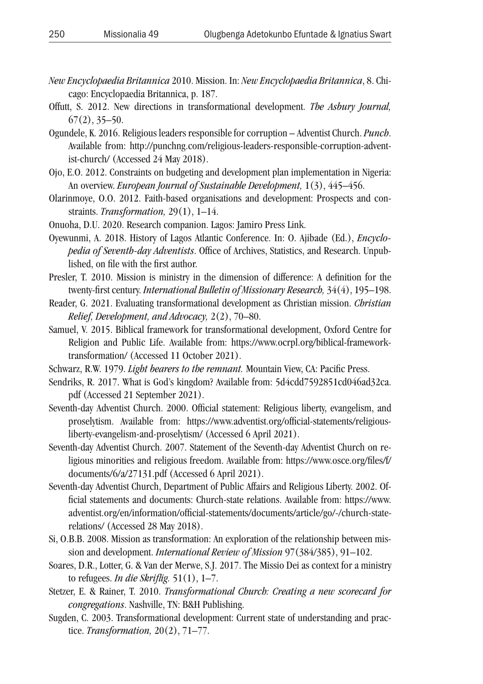- *New Encyclopaedia Britannica* 2010. Mission. In: *New Encyclopaedia Britannica*, 8. Chicago: Encyclopaedia Britannica, p. 187.
- Offutt, S. 2012. New directions in transformational development. *The Asbury Journal,*  $67(2)$ , 35–50.
- Ogundele, K. 2016. Religious leaders responsible for corruption Adventist Church. *Punch*. Available from: http://punchng.com/religious-leaders-responsible-corruption-adventist-church/ (Accessed 24 May 2018).
- Ojo, E.O. 2012. Constraints on budgeting and development plan implementation in Nigeria: An overview. *European Journal of Sustainable Development,* 1(3), 445–456.
- Olarinmoye, O.O. 2012. Faith-based organisations and development: Prospects and constraints. *Transformation,* 29(1), 1–14.
- Onuoha, D.U. 2020. Research companion. Lagos: Jamiro Press Link.
- Oyewunmi, A. 2018. History of Lagos Atlantic Conference. In: O. Ajibade (Ed.), *Encyclopedia of Seventh-day Adventists*. Office of Archives, Statistics, and Research. Unpublished, on file with the first author.
- Presler, T. 2010. Mission is ministry in the dimension of difference: A definition for the twenty-first century. *International Bulletin of Missionary Research,* 34(4), 195–198.
- Reader, G. 2021. Evaluating transformational development as Christian mission. *Christian Relief, Development, and Advocacy,* 2(2), 70–80.
- Samuel, V. 2015. Biblical framework for transformational development, Oxford Centre for Religion and Public Life. Available from: https://www.ocrpl.org/biblical-frameworktransformation/ (Accessed 11 October 2021).
- Schwarz, R.W. 1979. *Light bearers to the remnant.* Mountain View, CA: Pacific Press.
- Sendriks, R. 2017. What is God's kingdom? Available from: 5d4cdd7592851cd046ad32ca. pdf (Accessed 21 September 2021).
- Seventh-day Adventist Church. 2000. Official statement: Religious liberty, evangelism, and proselytism. Available from: https://www.adventist.org/official-statements/religiousliberty-evangelism-and-proselytism/ (Accessed 6 April 2021).
- Seventh-day Adventist Church. 2007. Statement of the Seventh-day Adventist Church on religious minorities and religious freedom. Available from: https://www.osce.org/files/f/ documents/6/a/27131.pdf (Accessed 6 April 2021).
- Seventh-day Adventist Church, Department of Public Affairs and Religious Liberty. 2002. Official statements and documents: Church-state relations. Available from: https://www. adventist.org/en/information/official-statements/documents/article/go/-/church-staterelations/ (Accessed 28 May 2018).
- Si, O.B.B. 2008. Mission as transformation: An exploration of the relationship between mission and development. *International Review of Mission* 97(384/385), 91–102.
- Soares, D.R., Lotter, G. & Van der Merwe, S.J. 2017. The Missio Dei as context for a ministry to refugees. *In die Skriflig.* 51(1), 1–7.
- Stetzer, E. & Rainer, T. 2010. *Transformational Church: Creating a new scorecard for congregations*. Nashville, TN: B&H Publishing.
- Sugden, C. 2003. Transformational development: Current state of understanding and practice. *Transformation,* 20(2), 71–77.